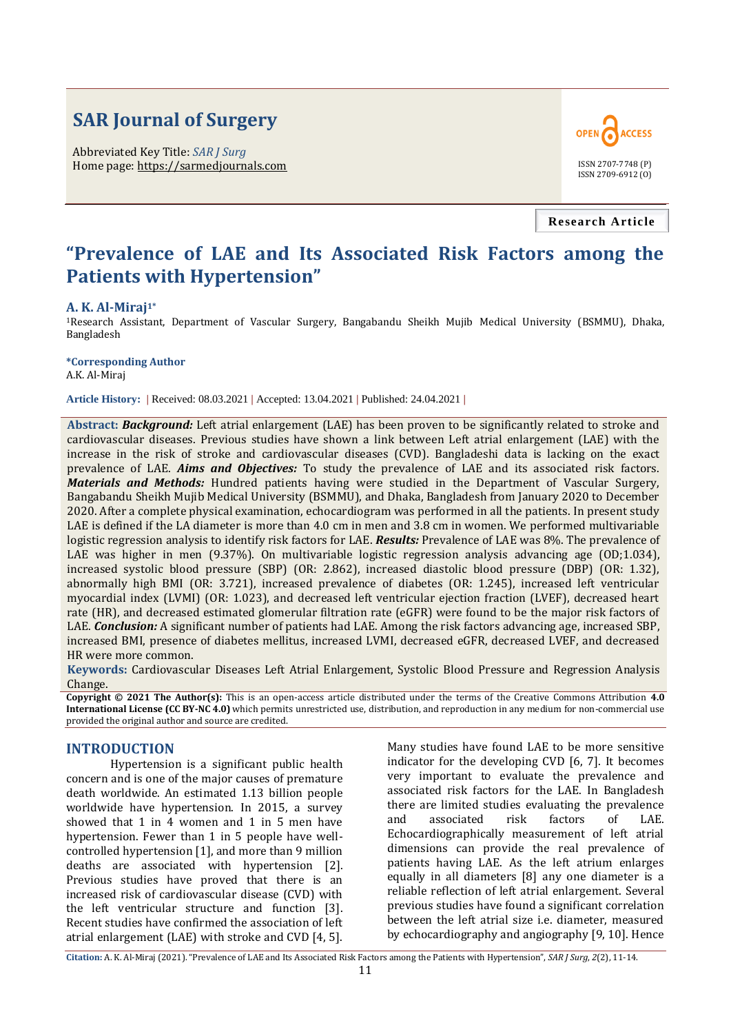# **SAR Journal of Surgery**

Abbreviated Key Title: *SAR J Surg* Home page: https://sarmedjournals.com



**Research Article**

# **"Prevalence of LAE and Its Associated Risk Factors among the Patients with Hypertension"**

#### **A. K. Al-Miraj1\***

<sup>1</sup>Research Assistant, Department of Vascular Surgery, Bangabandu Sheikh Mujib Medical University (BSMMU), Dhaka, Bangladesh

#### **\*Corresponding Author** A.K. Al-Miraj

**Article History: |** Received: 08.03.2021 **|** Accepted: 13.04.2021 **|** Published: 24.04.2021 **|**

**Abstract:** *Background:* Left atrial enlargement (LAE) has been proven to be significantly related to stroke and cardiovascular diseases. Previous studies have shown a link between Left atrial enlargement (LAE) with the increase in the risk of stroke and cardiovascular diseases (CVD). Bangladeshi data is lacking on the exact prevalence of LAE. *Aims and Objectives:* To study the prevalence of LAE and its associated risk factors. *Materials and Methods:* Hundred patients having were studied in the Department of Vascular Surgery, Bangabandu Sheikh Mujib Medical University (BSMMU), and Dhaka, Bangladesh from January 2020 to December 2020. After a complete physical examination, echocardiogram was performed in all the patients. In present study LAE is defined if the LA diameter is more than 4.0 cm in men and 3.8 cm in women. We performed multivariable logistic regression analysis to identify risk factors for LAE. *Results:* Prevalence of LAE was 8%. The prevalence of LAE was higher in men (9.37%). On multivariable logistic regression analysis advancing age (OD;1.034), increased systolic blood pressure (SBP) (OR: 2.862), increased diastolic blood pressure (DBP) (OR: 1.32), abnormally high BMI (OR: 3.721), increased prevalence of diabetes (OR: 1.245), increased left ventricular myocardial index (LVMI) (OR: 1.023), and decreased left ventricular ejection fraction (LVEF), decreased heart rate (HR), and decreased estimated glomerular filtration rate (eGFR) were found to be the major risk factors of LAE. *Conclusion:* A significant number of patients had LAE. Among the risk factors advancing age, increased SBP, increased BMI, presence of diabetes mellitus, increased LVMI, decreased eGFR, decreased LVEF, and decreased HR were more common.

**Keywords:** Cardiovascular Diseases Left Atrial Enlargement, Systolic Blood Pressure and Regression Analysis Change.

**Copyright © 2021 The Author(s):** This is an open-access article distributed under the terms of the Creative Commons Attribution **4.0 International License (CC BY-NC 4.0)** which permits unrestricted use, distribution, and reproduction in any medium for non-commercial use provided the original author and source are credited.

#### **INTRODUCTION**

Hypertension is a significant public health concern and is one of the major causes of premature death worldwide. An estimated 1.13 billion people worldwide have hypertension. In 2015, a survey showed that 1 in 4 women and 1 in 5 men have hypertension. Fewer than 1 in 5 people have wellcontrolled hypertension [1], and more than 9 million deaths are associated with hypertension [2]. Previous studies have proved that there is an increased risk of cardiovascular disease (CVD) with the left ventricular structure and function [3]. Recent studies have confirmed the association of left atrial enlargement (LAE) with stroke and CVD [4, 5].

Many studies have found LAE to be more sensitive indicator for the developing CVD [6, 7]. It becomes very important to evaluate the prevalence and associated risk factors for the LAE. In Bangladesh there are limited studies evaluating the prevalence and associated risk factors of LAE. Echocardiographically measurement of left atrial dimensions can provide the real prevalence of patients having LAE. As the left atrium enlarges equally in all diameters [8] any one diameter is a reliable reflection of left atrial enlargement. Several previous studies have found a significant correlation between the left atrial size i.e. diameter, measured by echocardiography and angiography [9, 10]. Hence

**Citation:** A. K. Al-Miraj (2021). "Prevalence of LAE and Its Associated Risk Factors among the Patients with Hypertension", *SAR J Surg*, *2*(2), 11-14.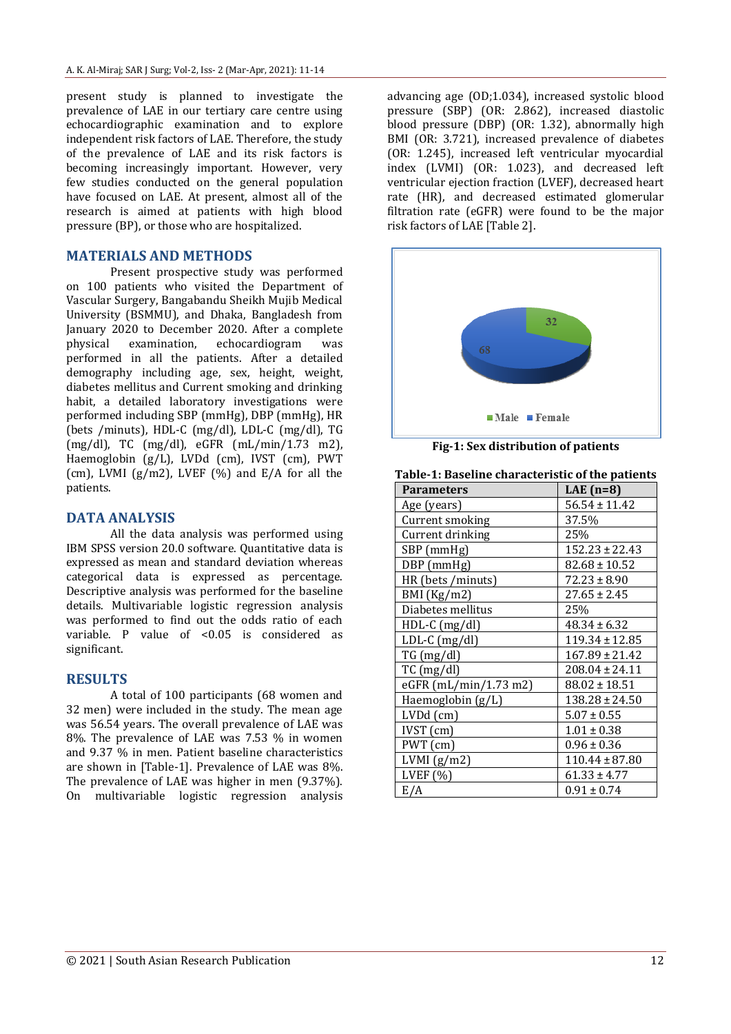present study is planned to investigate the prevalence of LAE in our tertiary care centre using echocardiographic examination and to explore independent risk factors of LAE. Therefore, the study of the prevalence of LAE and its risk factors is becoming increasingly important. However, very few studies conducted on the general population have focused on LAE. At present, almost all of the research is aimed at patients with high blood pressure (BP), or those who are hospitalized.

### **MATERIALS AND METHODS**

Present prospective study was performed on 100 patients who visited the Department of Vascular Surgery, Bangabandu Sheikh Mujib Medical University (BSMMU), and Dhaka, Bangladesh from January 2020 to December 2020. After a complete physical examination, echocardiogram was performed in all the patients. After a detailed demography including age, sex, height, weight, diabetes mellitus and Current smoking and drinking habit, a detailed laboratory investigations were performed including SBP (mmHg), DBP (mmHg), HR (bets /minuts), HDL-C (mg/dl), LDL-C (mg/dl), TG (mg/dl), TC (mg/dl), eGFR (mL/min/1.73 m2), Haemoglobin (g/L), LVDd (cm), IVST (cm), PWT (cm), LVMI ( $g/m2$ ), LVEF (%) and E/A for all the patients.

### **DATA ANALYSIS**

All the data analysis was performed using IBM SPSS version 20.0 software. Quantitative data is expressed as mean and standard deviation whereas categorical data is expressed as percentage. Descriptive analysis was performed for the baseline details. Multivariable logistic regression analysis was performed to find out the odds ratio of each variable. P value of <0.05 is considered as significant.

#### **RESULTS**

A total of 100 participants (68 women and 32 men) were included in the study. The mean age was 56.54 years. The overall prevalence of LAE was 8%. The prevalence of LAE was 7.53 % in women and 9.37 % in men. Patient baseline characteristics are shown in [Table-1]. Prevalence of LAE was 8%. The prevalence of LAE was higher in men (9.37%). On multivariable logistic regression analysis

advancing age (OD;1.034), increased systolic blood pressure (SBP) (OR: 2.862), increased diastolic blood pressure (DBP) (OR: 1.32), abnormally high BMI (OR: 3.721), increased prevalence of diabetes (OR: 1.245), increased left ventricular myocardial index (LVMI) (OR: 1.023), and decreased left ventricular ejection fraction (LVEF), decreased heart rate (HR), and decreased estimated glomerular filtration rate (eGFR) were found to be the major risk factors of LAE [Table 2].



**Fig-1: Sex distribution of patients**

| Table-1: Baseline characteristic of the patients |  |  |  |
|--------------------------------------------------|--|--|--|
| LAE $(n=8)$                                      |  |  |  |
| $56.54 \pm 11.42$                                |  |  |  |
| 37.5%                                            |  |  |  |
| 25%                                              |  |  |  |
| $152.23 \pm 22.43$                               |  |  |  |
| $82.68 \pm 10.52$                                |  |  |  |
| $72.23 \pm 8.90$                                 |  |  |  |
| $27.65 \pm 2.45$                                 |  |  |  |
| 25%                                              |  |  |  |
| $48.34 \pm 6.32$                                 |  |  |  |
| $119.34 \pm 12.85$                               |  |  |  |
| $167.89 \pm 21.42$                               |  |  |  |
| $208.04 \pm 24.11$                               |  |  |  |
| $88.02 \pm 18.51$                                |  |  |  |
| $138.28 \pm 24.50$                               |  |  |  |
| $5.07 \pm 0.55$                                  |  |  |  |
| $1.01 \pm 0.38$                                  |  |  |  |
| $0.96 \pm 0.36$                                  |  |  |  |
| $110.44 \pm 87.80$                               |  |  |  |
| $61.33 \pm 4.77$                                 |  |  |  |
| $0.91 \pm 0.74$                                  |  |  |  |
|                                                  |  |  |  |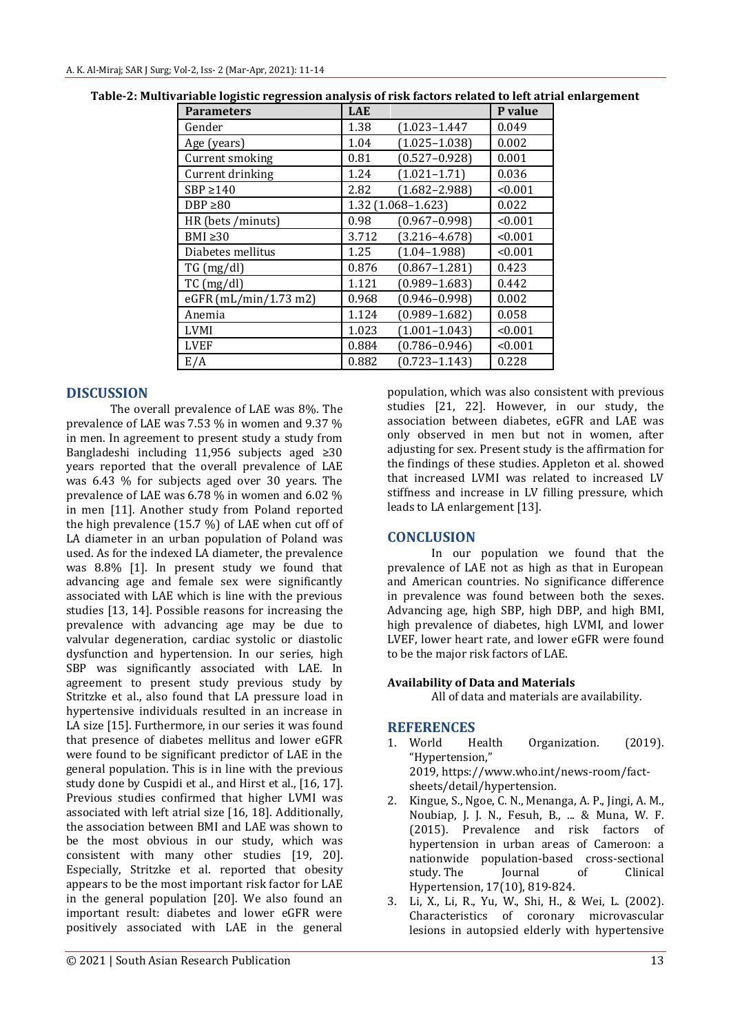| <b>Parameters</b>     | <b>LAE</b> |                    | P value |
|-----------------------|------------|--------------------|---------|
| Gender                | 1.38       | $(1.023 - 1.447)$  | 0.049   |
| Age (years)           | 1.04       | $(1.025 - 1.038)$  | 0.002   |
| Current smoking       | 0.81       | $(0.527 - 0.928)$  | 0.001   |
| Current drinking      | 1.24       | $(1.021 - 1.71)$   | 0.036   |
| $SBP \ge 140$         | 2.82       | $(1.682 - 2.988)$  | < 0.001 |
| DBP $\geq 80$         |            | 1.32 (1.068-1.623) |         |
| HR (bets /minuts)     | 0.98       | $(0.967 - 0.998)$  | < 0.001 |
| BMI $\geq$ 30         | 3.712      | $(3.216 - 4.678)$  | < 0.001 |
| Diabetes mellitus     | 1.25       | $(1.04 - 1.988)$   | < 0.001 |
| TG (mg/dl)            | 0.876      | $(0.867 - 1.281)$  | 0.423   |
| $TC$ (mg/dl)          | 1.121      | $(0.989 - 1.683)$  | 0.442   |
| eGFR (mL/min/1.73 m2) | 0.968      | $(0.946 - 0.998)$  | 0.002   |
| Anemia                | 1.124      | $(0.989 - 1.682)$  | 0.058   |
| <b>LVMI</b>           | 1.023      | $(1.001 - 1.043)$  | < 0.001 |
| <b>LVEF</b>           | 0.884      | $(0.786 - 0.946)$  | < 0.001 |
| E/A                   | 0.882      | $(0.723 - 1.143)$  | 0.228   |

**Table-2: Multivariable logistic regression analysis of risk factors related to left atrial enlargement**

## **DISCUSSION**

The overall prevalence of LAE was 8%. The prevalence of LAE was 7.53 % in women and 9.37 % in men. In agreement to present study a study from Bangladeshi including 11,956 subjects aged ≥30 years reported that the overall prevalence of LAE was 6.43 % for subjects aged over 30 years. The prevalence of LAE was 6.78 % in women and 6.02 % in men [11]. Another study from Poland reported the high prevalence (15.7 %) of LAE when cut off of LA diameter in an urban population of Poland was used. As for the indexed LA diameter, the prevalence was 8.8% [1]. In present study we found that advancing age and female sex were significantly associated with LAE which is line with the previous studies [13, 14]. Possible reasons for increasing the prevalence with advancing age may be due to valvular degeneration, cardiac systolic or diastolic dysfunction and hypertension. In our series, high SBP was significantly associated with LAE. In agreement to present study previous study by Stritzke et al., also found that LA pressure load in hypertensive individuals resulted in an increase in LA size [15]. Furthermore, in our series it was found that presence of diabetes mellitus and lower eGFR were found to be significant predictor of LAE in the general population. This is in line with the previous study done by Cuspidi et al., and Hirst et al., [16, 17]. Previous studies confirmed that higher LVMI was associated with left atrial size [16, 18]. Additionally, the association between BMI and LAE was shown to be the most obvious in our study, which was consistent with many other studies [19, 20]. Especially, Stritzke et al. reported that obesity appears to be the most important risk factor for LAE in the general population [20]. We also found an important result: diabetes and lower eGFR were positively associated with LAE in the general

population, which was also consistent with previous studies [21, 22]. However, in our study, the association between diabetes, eGFR and LAE was only observed in men but not in women, after adjusting for sex. Present study is the affirmation for the findings of these studies. Appleton et al. showed that increased LVMI was related to increased LV stiffness and increase in LV filling pressure, which leads to LA enlargement [13].

#### **CONCLUSION**

In our population we found that the prevalence of LAE not as high as that in European and American countries. No significance difference in prevalence was found between both the sexes. Advancing age, high SBP, high DBP, and high BMI, high prevalence of diabetes, high LVMI, and lower LVEF, lower heart rate, and lower eGFR were found to be the major risk factors of LAE.

#### **Availability of Data and Materials**

All of data and materials are availability.

#### **REFERENCES**

- 1. World Health Organization. (2019). "Hypertension," 2019, https://www.who.int/news-room/factsheets/detail/hypertension.
- 2. Kingue, S., Ngoe, C. N., Menanga, A. P., Jingi, A. M., Noubiap, J. J. N., Fesuh, B., ... & Muna, W. F. (2015). Prevalence and risk factors of hypertension in urban areas of Cameroon: a nationwide population‐based cross‐sectional study. The Journal of Clinical Hypertension, 17(10), 819-824.
- 3. Li, X., Li, R., Yu, W., Shi, H., & Wei, L. (2002). Characteristics of coronary microvascular lesions in autopsied elderly with hypertensive